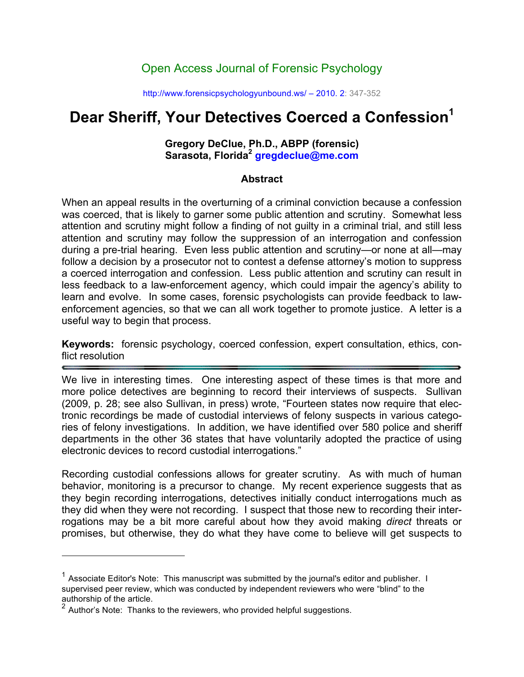# Open Access Journal of Forensic Psychology

http://www.forensicpsychologyunbound.ws/ – 2010. 2: 347-352

# **Dear Sheriff, Your Detectives Coerced a Confession<sup>1</sup>**

#### **Gregory DeClue, Ph.D., ABPP (forensic) Sarasota, Florida2 gregdeclue@me.com**

#### **Abstract**

When an appeal results in the overturning of a criminal conviction because a confession was coerced, that is likely to garner some public attention and scrutiny. Somewhat less attention and scrutiny might follow a finding of not guilty in a criminal trial, and still less attention and scrutiny may follow the suppression of an interrogation and confession during a pre-trial hearing. Even less public attention and scrutiny—or none at all—may follow a decision by a prosecutor not to contest a defense attorney's motion to suppress a coerced interrogation and confession. Less public attention and scrutiny can result in less feedback to a law-enforcement agency, which could impair the agency's ability to learn and evolve. In some cases, forensic psychologists can provide feedback to lawenforcement agencies, so that we can all work together to promote justice. A letter is a useful way to begin that process.

**Keywords:** forensic psychology, coerced confession, expert consultation, ethics, conflict resolution

We live in interesting times. One interesting aspect of these times is that more and more police detectives are beginning to record their interviews of suspects. Sullivan (2009, p. 28; see also Sullivan, in press) wrote, "Fourteen states now require that electronic recordings be made of custodial interviews of felony suspects in various categories of felony investigations. In addition, we have identified over 580 police and sheriff departments in the other 36 states that have voluntarily adopted the practice of using electronic devices to record custodial interrogations."

Recording custodial confessions allows for greater scrutiny. As with much of human behavior, monitoring is a precursor to change. My recent experience suggests that as they begin recording interrogations, detectives initially conduct interrogations much as they did when they were not recording. I suspect that those new to recording their interrogations may be a bit more careful about how they avoid making *direct* threats or promises, but otherwise, they do what they have come to believe will get suspects to

 $\overline{a}$ 

 $1$  Associate Editor's Note: This manuscript was submitted by the journal's editor and publisher. I supervised peer review, which was conducted by independent reviewers who were "blind" to the authorship of the article.

<sup>2</sup> Author's Note: Thanks to the reviewers, who provided helpful suggestions.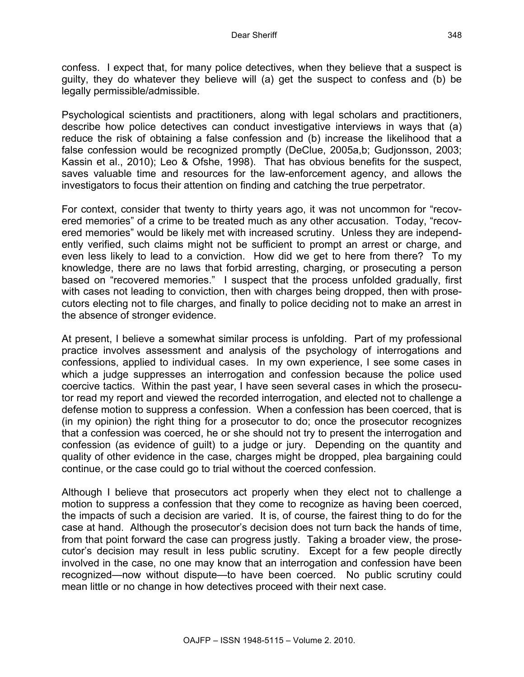confess. I expect that, for many police detectives, when they believe that a suspect is guilty, they do whatever they believe will (a) get the suspect to confess and (b) be legally permissible/admissible.

Psychological scientists and practitioners, along with legal scholars and practitioners, describe how police detectives can conduct investigative interviews in ways that (a) reduce the risk of obtaining a false confession and (b) increase the likelihood that a false confession would be recognized promptly (DeClue, 2005a,b; Gudjonsson, 2003; Kassin et al., 2010); Leo & Ofshe, 1998). That has obvious benefits for the suspect, saves valuable time and resources for the law-enforcement agency, and allows the investigators to focus their attention on finding and catching the true perpetrator.

For context, consider that twenty to thirty years ago, it was not uncommon for "recovered memories" of a crime to be treated much as any other accusation. Today, "recovered memories" would be likely met with increased scrutiny. Unless they are independently verified, such claims might not be sufficient to prompt an arrest or charge, and even less likely to lead to a conviction. How did we get to here from there? To my knowledge, there are no laws that forbid arresting, charging, or prosecuting a person based on "recovered memories." I suspect that the process unfolded gradually, first with cases not leading to conviction, then with charges being dropped, then with prosecutors electing not to file charges, and finally to police deciding not to make an arrest in the absence of stronger evidence.

At present, I believe a somewhat similar process is unfolding. Part of my professional practice involves assessment and analysis of the psychology of interrogations and confessions, applied to individual cases. In my own experience, I see some cases in which a judge suppresses an interrogation and confession because the police used coercive tactics. Within the past year, I have seen several cases in which the prosecutor read my report and viewed the recorded interrogation, and elected not to challenge a defense motion to suppress a confession. When a confession has been coerced, that is (in my opinion) the right thing for a prosecutor to do; once the prosecutor recognizes that a confession was coerced, he or she should not try to present the interrogation and confession (as evidence of guilt) to a judge or jury. Depending on the quantity and quality of other evidence in the case, charges might be dropped, plea bargaining could continue, or the case could go to trial without the coerced confession.

Although I believe that prosecutors act properly when they elect not to challenge a motion to suppress a confession that they come to recognize as having been coerced, the impacts of such a decision are varied. It is, of course, the fairest thing to do for the case at hand. Although the prosecutor's decision does not turn back the hands of time, from that point forward the case can progress justly. Taking a broader view, the prosecutor's decision may result in less public scrutiny. Except for a few people directly involved in the case, no one may know that an interrogation and confession have been recognized—now without dispute—to have been coerced. No public scrutiny could mean little or no change in how detectives proceed with their next case.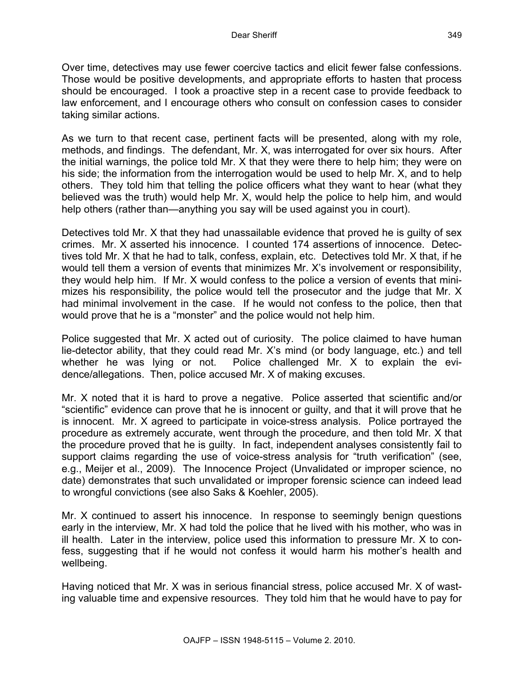Over time, detectives may use fewer coercive tactics and elicit fewer false confessions. Those would be positive developments, and appropriate efforts to hasten that process should be encouraged. I took a proactive step in a recent case to provide feedback to law enforcement, and I encourage others who consult on confession cases to consider taking similar actions.

As we turn to that recent case, pertinent facts will be presented, along with my role, methods, and findings. The defendant, Mr. X, was interrogated for over six hours. After the initial warnings, the police told Mr. X that they were there to help him; they were on his side; the information from the interrogation would be used to help Mr. X, and to help others. They told him that telling the police officers what they want to hear (what they believed was the truth) would help Mr. X, would help the police to help him, and would help others (rather than—anything you say will be used against you in court).

Detectives told Mr. X that they had unassailable evidence that proved he is guilty of sex crimes. Mr. X asserted his innocence. I counted 174 assertions of innocence. Detectives told Mr. X that he had to talk, confess, explain, etc. Detectives told Mr. X that, if he would tell them a version of events that minimizes Mr. X's involvement or responsibility, they would help him. If Mr. X would confess to the police a version of events that minimizes his responsibility, the police would tell the prosecutor and the judge that Mr. X had minimal involvement in the case. If he would not confess to the police, then that would prove that he is a "monster" and the police would not help him.

Police suggested that Mr. X acted out of curiosity. The police claimed to have human lie-detector ability, that they could read Mr. X's mind (or body language, etc.) and tell whether he was lying or not. Police challenged Mr. X to explain the evidence/allegations. Then, police accused Mr. X of making excuses.

Mr. X noted that it is hard to prove a negative. Police asserted that scientific and/or "scientific" evidence can prove that he is innocent or guilty, and that it will prove that he is innocent. Mr. X agreed to participate in voice-stress analysis. Police portrayed the procedure as extremely accurate, went through the procedure, and then told Mr. X that the procedure proved that he is guilty. In fact, independent analyses consistently fail to support claims regarding the use of voice-stress analysis for "truth verification" (see, e.g., Meijer et al., 2009). The Innocence Project (Unvalidated or improper science, no date) demonstrates that such unvalidated or improper forensic science can indeed lead to wrongful convictions (see also Saks & Koehler, 2005).

Mr. X continued to assert his innocence. In response to seemingly benign questions early in the interview, Mr. X had told the police that he lived with his mother, who was in ill health. Later in the interview, police used this information to pressure Mr. X to confess, suggesting that if he would not confess it would harm his mother's health and wellbeing.

Having noticed that Mr. X was in serious financial stress, police accused Mr. X of wasting valuable time and expensive resources. They told him that he would have to pay for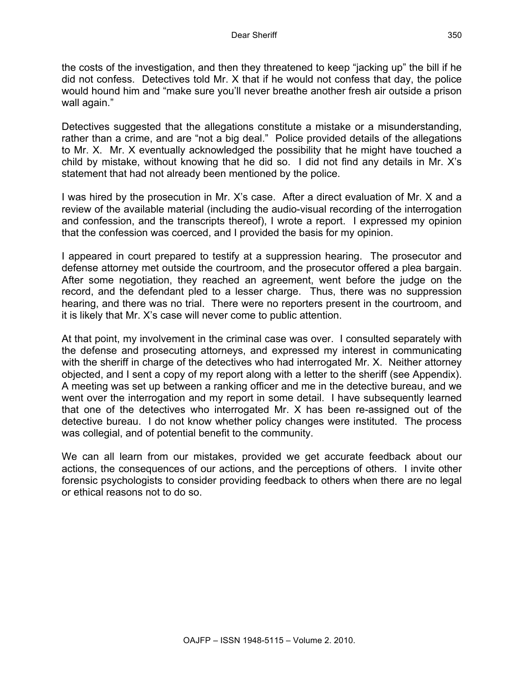the costs of the investigation, and then they threatened to keep "jacking up" the bill if he did not confess. Detectives told Mr. X that if he would not confess that day, the police would hound him and "make sure you'll never breathe another fresh air outside a prison wall again."

Detectives suggested that the allegations constitute a mistake or a misunderstanding, rather than a crime, and are "not a big deal." Police provided details of the allegations to Mr. X. Mr. X eventually acknowledged the possibility that he might have touched a child by mistake, without knowing that he did so. I did not find any details in Mr. X's statement that had not already been mentioned by the police.

I was hired by the prosecution in Mr. X's case. After a direct evaluation of Mr. X and a review of the available material (including the audio-visual recording of the interrogation and confession, and the transcripts thereof), I wrote a report. I expressed my opinion that the confession was coerced, and I provided the basis for my opinion.

I appeared in court prepared to testify at a suppression hearing. The prosecutor and defense attorney met outside the courtroom, and the prosecutor offered a plea bargain. After some negotiation, they reached an agreement, went before the judge on the record, and the defendant pled to a lesser charge. Thus, there was no suppression hearing, and there was no trial. There were no reporters present in the courtroom, and it is likely that Mr. X's case will never come to public attention.

At that point, my involvement in the criminal case was over. I consulted separately with the defense and prosecuting attorneys, and expressed my interest in communicating with the sheriff in charge of the detectives who had interrogated Mr. X. Neither attorney objected, and I sent a copy of my report along with a letter to the sheriff (see Appendix). A meeting was set up between a ranking officer and me in the detective bureau, and we went over the interrogation and my report in some detail. I have subsequently learned that one of the detectives who interrogated Mr. X has been re-assigned out of the detective bureau. I do not know whether policy changes were instituted. The process was collegial, and of potential benefit to the community.

We can all learn from our mistakes, provided we get accurate feedback about our actions, the consequences of our actions, and the perceptions of others. I invite other forensic psychologists to consider providing feedback to others when there are no legal or ethical reasons not to do so.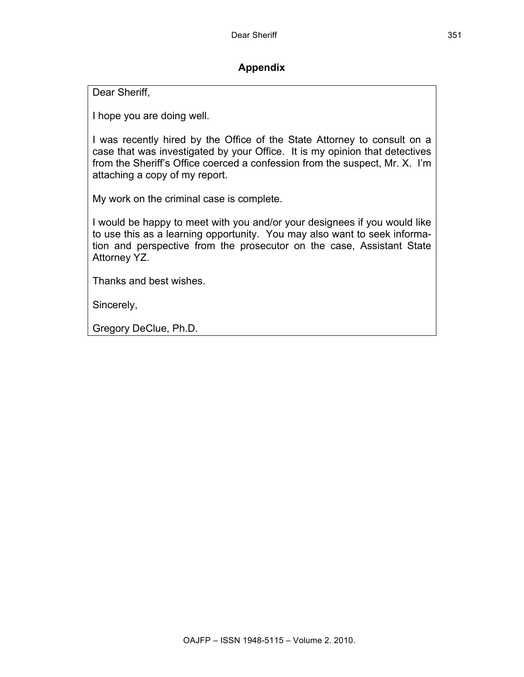## **Appendix**

Dear Sheriff,

I hope you are doing well.

I was recently hired by the Office of the State Attorney to consult on a case that was investigated by your Office. It is my opinion that detectives from the Sheriff's Office coerced a confession from the suspect, Mr. X. I'm attaching a copy of my report.

My work on the criminal case is complete.

I would be happy to meet with you and/or your designees if you would like to use this as a learning opportunity. You may also want to seek information and perspective from the prosecutor on the case, Assistant State Attorney YZ.

Thanks and best wishes.

Sincerely,

Gregory DeClue, Ph.D.